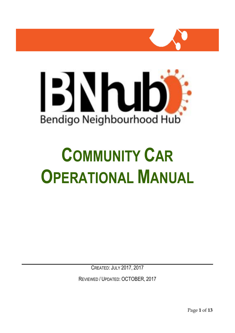



# **COMMUNITY CAR OPERATIONAL MANUAL**

CREATED: JULY 2017, 2017

REVIEWED / UPDATED: OCTOBER, 2017

Page **1** of **13**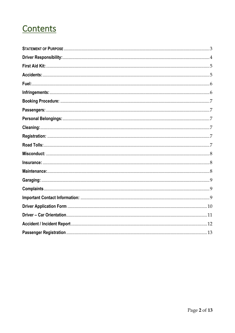# Contents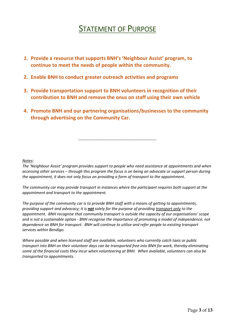# STATEMENT OF PURPOSE

- <span id="page-2-0"></span>*1.* **Provide a resource that supports BNH's 'Neighbour Assist' program, to continue to meet the needs of people within the community.**
- **2. Enable BNH to conduct greater outreach activities and programs**
- **3. Provide transportation support to BNH volunteers in recognition of their contribution to BNH and remove the onus on staff using their own vehicle**
- **4. Promote BNH and our partnering organisations/businesses to the community through advertising on the Community Car.**

-----------------------------------------------------------

*Notes:*

*The 'Neighbour Assist' program provides support to people who need assistance at appointments and when accessing other services – through this program the focus is on being an advocate or support person during the appointment, it does not only focus on providing a form of transport to the appointment.* 

*The community car may provide transport in instances where the participant requires both support at the appointment and transport to the appointment.*

*The purpose of the community car is to provide BNH staff with a means of getting to appointments, providing support and advocacy; it is not solely for the purpose of providing transport only to the appointment. BNH recognise that community transport is outside the capacity of our organisations' scope and is not a sustainable option - BNH recognise the importance of promoting a model of independence, not dependence on BNH for transport. BNH will continue to utilise and refer people to existing transport services within Bendigo.* 

*Where possible and when licensed staff are available, volunteers who currently catch taxis or public transport into BNH on their volunteer days can be transported free into BNH for work, thereby eliminating some of the financial costs they incur when volunteering at BNH. When available, volunteers can also be transported to appointments.*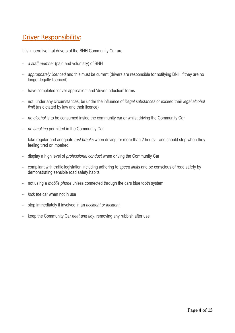## <span id="page-3-0"></span>Driver Responsibility:

It is imperative that drivers of the BNH Community Car are:

- *a staff member* (paid and voluntary) of BNH
- *appropriately licenced* and this must be current (drivers are responsible for notifying BNH if they are no longer legally licenced)
- have completed 'driver application' and 'driver induction' forms
- not, under any circumstances, be under the influence of *illegal substances* or exceed their *legal alcohol limit* (as dictated by law and their licence)
- *no alcohol* is to be consumed inside the community car or whilst driving the Community Car
- *no smoking* permitted in the Community Car
- take regular and adequate *rest breaks* when driving for more than 2 hours and should stop when they feeling tired or impaired
- display a high level of *professional conduct* when driving the Community Car
- compliant with traffic legislation including adhering to *speed limits* and be conscious of road safety by demonstrating sensible road safety habits
- not using a *mobile phone* unless connected through the cars blue tooth system
- *lock the car* when not in use
- stop immediately if involved in an *accident or incident*
- keep the Community Car *neat and tidy*, removing any rubbish after use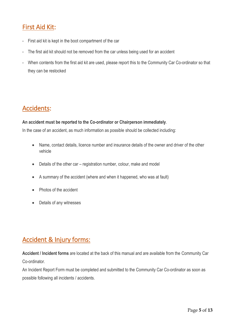## <span id="page-4-0"></span>First Aid Kit:

- First aid kit is kept in the boot compartment of the car
- The first aid kit should not be removed from the car unless being used for an accident
- When contents from the first aid kit are used, please report this to the Community Car Co-ordinator so that they can be restocked

## <span id="page-4-1"></span>Accidents:

#### **An accident must be reported to the Co-ordinator or Chairperson immediately**.

In the case of an accident, as much information as possible should be collected including:

- Name, contact details, licence number and insurance details of the owner and driver of the other vehicle
- Details of the other car registration number, colour, make and model
- A summary of the accident (where and when it happened, who was at fault)
- Photos of the accident
- Details of any witnesses

## Accident & Injury forms:

**Accident / Incident forms** are located at the back of this manual and are available from the Community Car Co-ordinator.

An Incident Report Form must be completed and submitted to the Community Car Co-ordinator as soon as possible following all incidents / accidents.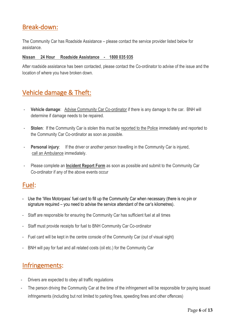## Break-down:

The Community Car has Roadside Assistance – please contact the service provider listed below for assistance.

#### **Nissan 24 Hour Roadside Assistance - 1800 035 035**

After roadside assistance has been contacted, please contact the Co-ordinator to advise of the issue and the location of where you have broken down.

## Vehicle damage & Theft:

- **Vehicle damage**: Advise Community Car Co-ordinator if there is any damage to the car. BNH will determine if damage needs to be repaired.
- **Stolen**: If the Community Car is stolen this must be reported to the Police immediately and reported to the Community Car Co-ordinator as soon as possible.
- **Personal injury**: If the driver or another person travelling in the Community Car is injured, call an Ambulance immediately.
- Please complete an **Incident Report Form** as soon as possible and submit to the Community Car Co-ordinator if any of the above events occur

## <span id="page-5-0"></span>Fuel:

- Use the 'Wex Motorpass' fuel card to fill up the Community Car when necessary (there is no pin or signature required – you need to advise the service attendant of the car's kilometres).
- Staff are responsible for ensuring the Community Car has sufficient fuel at all times
- Staff must provide receipts for fuel to BNH Community Car Co-ordinator
- Fuel card will be kept in the centre console of the Community Car (out of visual sight)
- BNH will pay for fuel and all related costs (oil etc.) for the Community Car

## <span id="page-5-1"></span>Infringements:

- Drivers are expected to obey all traffic regulations
- The person driving the Community Car at the time of the infringement will be responsible for paying issued infringements (including but not limited to parking fines, speeding fines and other offences)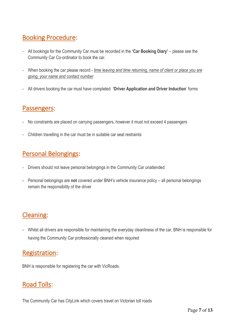## <span id="page-6-0"></span>Booking Procedure:

- All bookings for the Community Car must be recorded in the **'Car Booking Diary'** please see the Community Car Co-ordinator to book the car.
- When booking the car please record *time leaving and time returning, name of client or place you are going, your name and contact number*
- All drivers booking the car must have completed **'Driver Application and Driver Induction**' forms

## <span id="page-6-1"></span>Passengers:

- No constraints are placed on carrying passengers, however it must not exceed 4 passengers
- Children travelling in the car must be in suitable car seat restraints

## <span id="page-6-2"></span>Personal Belongings:

- Drivers should not leave personal belongings in the Community Car unattended
- Personal belongings are **not** covered under BNH's vehicle insurance policy all personal belongings remain the responsibility of the driver

## <span id="page-6-3"></span>Cleaning:

- Whilst all drivers are responsible for maintaining the everyday cleanliness of the car, BNH is responsible for having the Community Car professionally cleaned when required

### <span id="page-6-4"></span>Registration:

BNH is responsible for registering the car with VicRoads.

## <span id="page-6-5"></span>Road Tolls:

The Community Car has CityLink which covers travel on Victorian toll roads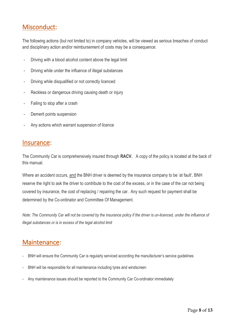## <span id="page-7-0"></span>Misconduct:

The following actions (but not limited to) in company vehicles, will be viewed as serious breaches of conduct and disciplinary action and/or reimbursement of costs may be a consequence:

- Driving with a blood alcohol content above the legal limit
- Driving while under the influence of illegal substances
- Driving while disqualified or not correctly licenced
- Reckless or dangerous driving causing death or injury
- Failing to stop after a crash
- Demerit points suspension
- Any actions which warrant suspension of licence

#### <span id="page-7-1"></span>Insurance:

The Community Car is comprehensively insured through **RACV.** A copy of the policy is located at the back of this manual.

Where an accident occurs, and the BNH driver is deemed by the insurance company to be 'at fault', BNH reserve the right to ask the driver to contribute to the cost of the excess, or in the case of the car not being covered by insurance, the cost of replacing / repairing the car. Any such request for payment shall be determined by the Co-ordinator and Committee Of Management.

*Note: The Community Car will not be covered by the insurance policy if the driver is un-licenced, under the influence of illegal substances or is in excess of the legal alcohol limit*

## <span id="page-7-2"></span>Maintenance:

- BNH will ensure the Community Car is regularly serviced according the manufacturer's service guidelines
- BNH will be responsible for all maintenance including tyres and windscreen
- Any maintenance issues should be reported to the Community Car Co-ordinator immediately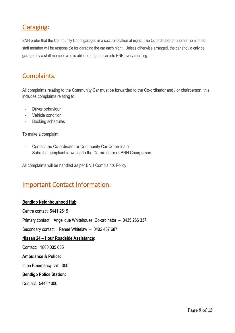## <span id="page-8-0"></span>Garaging:

BNH prefer that the Community Car is garaged in a secure location at night. The Co-ordinator or another nominated staff member will be responsible for garaging the car each night. Unless otherwise arranged, the car should only be garaged by a staff member who is able to bring the car into BNH every morning.

## <span id="page-8-1"></span>Complaints:

All complaints relating to the Community Car must be forwarded to the Co-ordinator and / or chairperson, this includes complaints relating to:

- Driver behaviour
- Vehicle condition
- Booking schedules

To make a complaint:

- Contact the Co-ordinator or Community Car Co-ordinator
- Submit a complaint in writing to the Co-ordinator or BNH Chairperson

All complaints will be handled as per BNH Complaints Policy

## <span id="page-8-2"></span>Important Contact Information:

#### **Bendigo Neighbourhood Hub**:

Centre contact: 5441 2515

Primary contact: Angelique Whitehouse, Co-ordinator – 0435 266 337

Secondary contact: Renee Whitelaw – 0402 487 687

#### **Nissan 24 – Hour Roadside Assistance:**

Contact: 1800 035 035

#### **Ambulance & Police:**

In an Emergency call 000

#### **Bendigo Police Station:**

Contact:5448 1300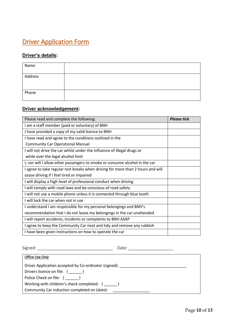## <span id="page-9-0"></span>**Driver Application Form**

#### **Driver's details:**

| Name    |  |
|---------|--|
| Address |  |
| Phone   |  |

#### **Driver acknowledgement:**

| Please read and complete the following:                                         | <b>Please tick</b> |
|---------------------------------------------------------------------------------|--------------------|
| I am a staff member (paid or voluntary) of BNH                                  |                    |
| I have provided a copy of my valid licence to BNH                               |                    |
| I have read and agree to the conditions outlined in the                         |                    |
| <b>Community Car Operational Manual</b>                                         |                    |
| I will not drive the car whilst under the influence of illegal drugs or         |                    |
| while over the legal alcohol limit                                              |                    |
| I, nor will I allow other passengers to smoke or consume alcohol in the car     |                    |
| I agree to take regular rest breaks when driving for more than 2 hours and will |                    |
| cease driving if I feel tired or impaired                                       |                    |
| I will display a high level of professional conduct when driving                |                    |
| I will comply with road laws and be conscious of road safety                    |                    |
| I will not use a mobile phone unless it is connected through blue tooth         |                    |
| I will lock the car when not in use                                             |                    |
| I understand I am responsible for my personal belongings and BNH's              |                    |
| recommendation that I do not leave my belongings in the car unattended          |                    |
| I will report accidents, incidents or complaints to BNH ASAP                    |                    |
| I agree to keep the Community Car neat and tidy and remove any rubbish          |                    |
| I have been given instructions on how to operate the car                        |                    |

Signed: \_\_\_\_\_\_\_\_\_\_\_\_\_\_\_\_\_\_\_\_\_\_\_\_\_\_\_\_\_\_\_\_ Date: \_\_\_\_\_\_\_\_\_\_\_\_\_\_\_\_\_\_\_ Office Use Only Driver Application accepted by Co-ordinator (signed): \_\_\_\_\_\_\_\_\_\_\_\_\_\_\_\_\_\_\_\_\_\_\_\_\_\_ Drivers licence on file: ( \_\_\_\_\_\_ ) Police Check on file: (\_\_\_\_\_\_) Working with children's check completed: ( \_\_\_\_\_\_ ) Community Car induction completed on (date): \_\_\_\_\_\_\_\_\_\_\_\_\_\_\_\_\_\_\_\_\_\_\_\_\_\_\_\_\_\_\_\_\_\_\_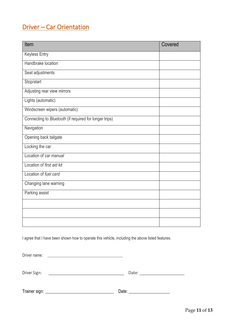## <span id="page-10-0"></span>Driver – Car Orientation

| Item                                                   | Covered |
|--------------------------------------------------------|---------|
| <b>Keyless Entry</b>                                   |         |
| Handbrake location                                     |         |
| Seat adjustments                                       |         |
| Stop/start                                             |         |
| Adjusting rear view mirrors                            |         |
| Lights (automatic)                                     |         |
| Windscreen wipers (automatic)                          |         |
| Connecting to Bluetooth (if required for longer trips) |         |
| Navigation                                             |         |
| Opening back tailgate                                  |         |
| Locking the car                                        |         |
| Location of car manual                                 |         |
| Location of first aid kit                              |         |
| Location of fuel card                                  |         |
| Changing lane warning                                  |         |
| Parking assist                                         |         |
|                                                        |         |
|                                                        |         |
|                                                        |         |

I agree that I have been shown how to operate this vehicle, including the above listed features.

Driver name: \_\_\_\_\_\_\_\_\_\_\_\_\_\_\_\_\_\_\_\_\_\_\_\_\_\_\_\_\_\_\_\_\_\_\_\_\_\_

Driver Sign: \_\_\_\_\_\_\_\_\_\_\_\_\_\_\_\_\_\_\_\_\_\_\_\_\_\_\_\_\_\_\_\_ Date: \_\_\_\_\_\_\_\_\_\_\_\_\_\_\_\_\_\_\_

Trainer sign: \_\_\_\_\_\_\_\_\_\_\_\_\_\_\_\_\_\_\_\_\_\_\_\_\_\_\_\_\_\_\_\_ Date: \_\_\_\_\_\_\_\_\_\_\_\_\_\_\_\_\_\_\_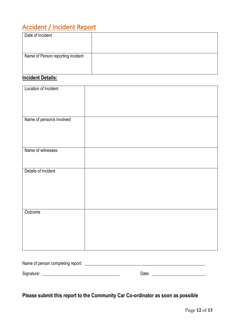## <span id="page-11-0"></span>Accident / Incident Report

| Date of Incident                  |  |
|-----------------------------------|--|
| Name of Person reporting incident |  |
|                                   |  |

## **Incident Details:**

| Location of Incident      |  |
|---------------------------|--|
|                           |  |
|                           |  |
|                           |  |
|                           |  |
|                           |  |
|                           |  |
|                           |  |
|                           |  |
|                           |  |
| Name of person/s involved |  |
|                           |  |
|                           |  |
|                           |  |
|                           |  |
|                           |  |
|                           |  |
|                           |  |
|                           |  |
|                           |  |
| Name of witnesses         |  |
|                           |  |
|                           |  |
|                           |  |
|                           |  |
|                           |  |
| Details of incident       |  |
|                           |  |
|                           |  |
|                           |  |
|                           |  |
|                           |  |
|                           |  |
|                           |  |
|                           |  |
|                           |  |
|                           |  |
|                           |  |
|                           |  |
| Outcome                   |  |
|                           |  |
|                           |  |
|                           |  |
|                           |  |
|                           |  |
|                           |  |
|                           |  |
|                           |  |
|                           |  |
|                           |  |
|                           |  |
|                           |  |
|                           |  |

| Name of person completing report: |       |
|-----------------------------------|-------|
| Signature:                        | Date: |

**Please submit this report to the Community Car Co-ordinator as soon as possible**